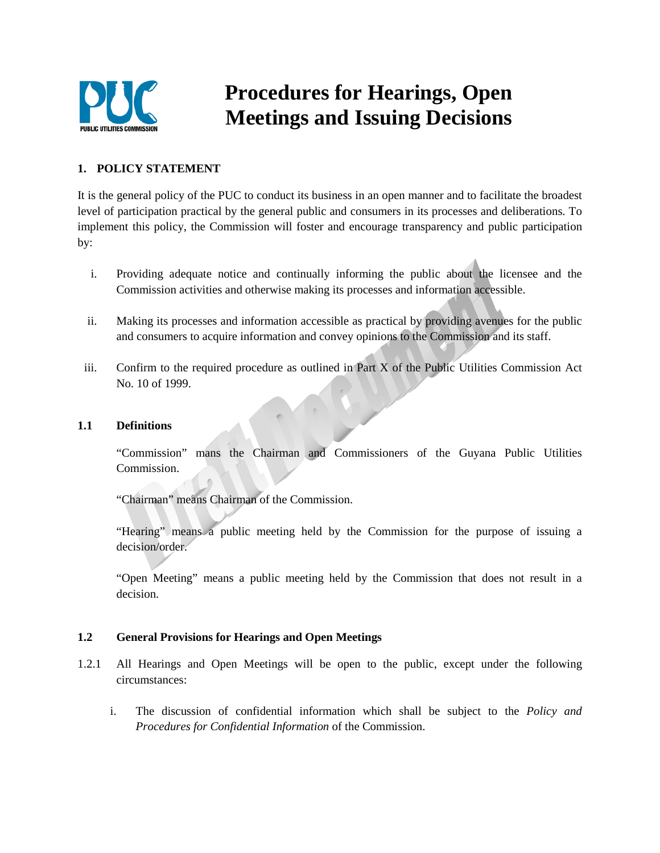

# **Procedures for Hearings, Open Meetings and Issuing Decisions**

# **1. POLICY STATEMENT**

It is the general policy of the PUC to conduct its business in an open manner and to facilitate the broadest level of participation practical by the general public and consumers in its processes and deliberations. To implement this policy, the Commission will foster and encourage transparency and public participation by:

- i. Providing adequate notice and continually informing the public about the licensee and the Commission activities and otherwise making its processes and information accessible.
- ii. Making its processes and information accessible as practical by providing avenues for the public and consumers to acquire information and convey opinions to the Commission and its staff.
- iii. Confirm to the required procedure as outlined in Part X of the Public Utilities Commission Act No. 10 of 1999.

### **1.1 Definitions**

"Commission" mans the Chairman and Commissioners of the Guyana Public Utilities Commission.

"Chairman" means Chairman of the Commission.

"Hearing" means a public meeting held by the Commission for the purpose of issuing a decision/order.

"Open Meeting" means a public meeting held by the Commission that does not result in a decision.

# **1.2 General Provisions for Hearings and Open Meetings**

- 1.2.1 All Hearings and Open Meetings will be open to the public, except under the following circumstances:
	- i. The discussion of confidential information which shall be subject to the *Policy and Procedures for Confidential Information* of the Commission.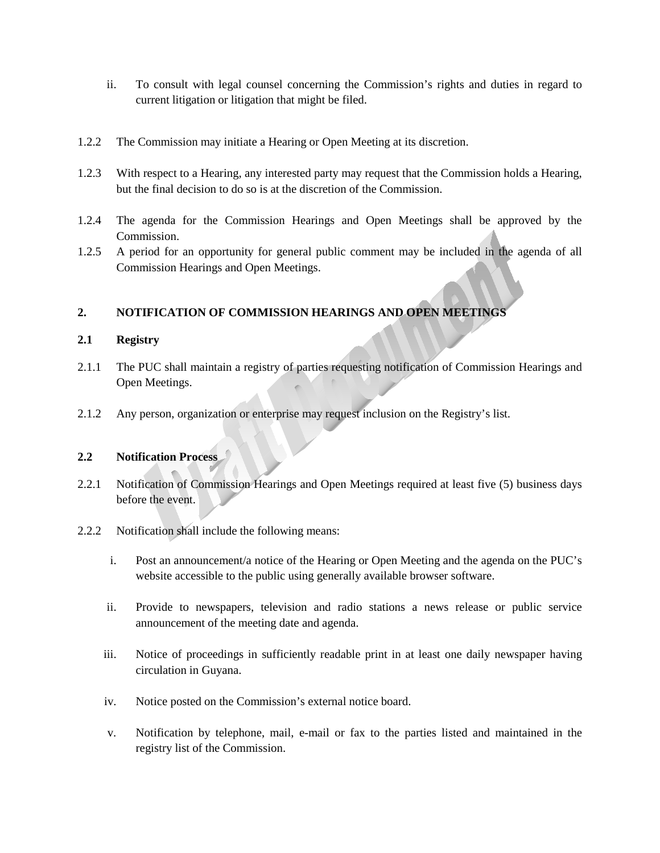- ii. To consult with legal counsel concerning the Commission's rights and duties in regard to current litigation or litigation that might be filed.
- 1.2.2 The Commission may initiate a Hearing or Open Meeting at its discretion.
- 1.2.3 With respect to a Hearing, any interested party may request that the Commission holds a Hearing, but the final decision to do so is at the discretion of the Commission.
- 1.2.4 The agenda for the Commission Hearings and Open Meetings shall be approved by the Commission.
- 1.2.5 A period for an opportunity for general public comment may be included in the agenda of all Commission Hearings and Open Meetings.

#### **2. NOTIFICATION OF COMMISSION HEARINGS AND OPEN MEETINGS**

#### **2.1 Registry**

- 2.1.1 The PUC shall maintain a registry of parties requesting notification of Commission Hearings and Open Meetings.
- 2.1.2 Any person, organization or enterprise may request inclusion on the Registry's list.

### **2.2 Notification Process**

- 2.2.1 Notification of Commission Hearings and Open Meetings required at least five (5) business days before the event.
- 2.2.2 Notification shall include the following means:
	- i. Post an announcement/a notice of the Hearing or Open Meeting and the agenda on the PUC's website accessible to the public using generally available browser software.
	- ii. Provide to newspapers, television and radio stations a news release or public service announcement of the meeting date and agenda.
	- iii. Notice of proceedings in sufficiently readable print in at least one daily newspaper having circulation in Guyana.
	- iv. Notice posted on the Commission's external notice board.
	- v. Notification by telephone, mail, e-mail or fax to the parties listed and maintained in the registry list of the Commission.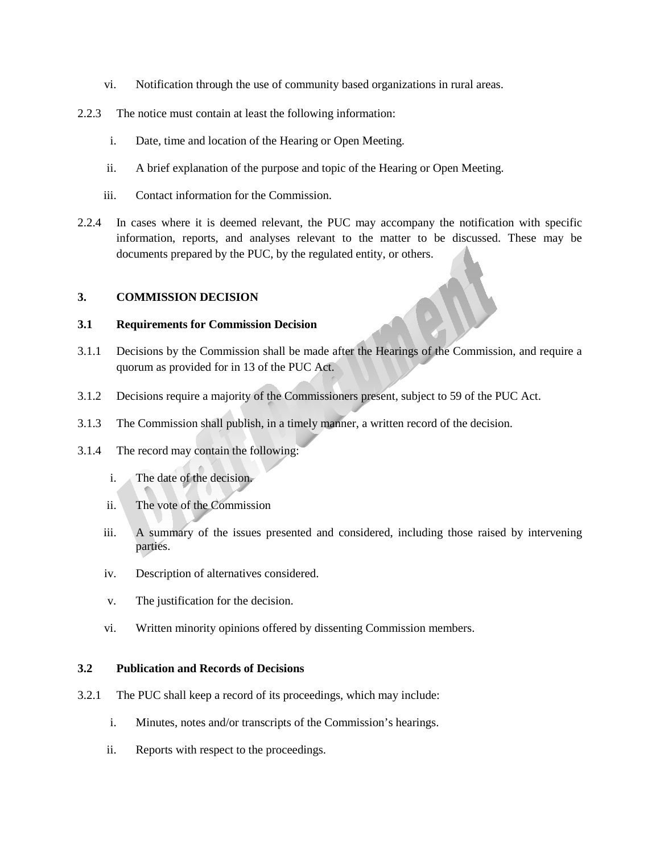- vi. Notification through the use of community based organizations in rural areas.
- 2.2.3 The notice must contain at least the following information:
	- i. Date, time and location of the Hearing or Open Meeting.
	- ii. A brief explanation of the purpose and topic of the Hearing or Open Meeting.
	- iii. Contact information for the Commission.
- 2.2.4 In cases where it is deemed relevant, the PUC may accompany the notification with specific information, reports, and analyses relevant to the matter to be discussed. These may be documents prepared by the PUC, by the regulated entity, or others.

#### **3. COMMISSION DECISION**

#### **3.1 Requirements for Commission Decision**

- 3.1.1 Decisions by the Commission shall be made after the Hearings of the Commission, and require a quorum as provided for in 13 of the PUC Act.
- 3.1.2 Decisions require a majority of the Commissioners present, subject to 59 of the PUC Act.
- 3.1.3 The Commission shall publish, in a timely manner, a written record of the decision.
- 3.1.4 The record may contain the following:
	- i. The date of the decision.
	- ii. The vote of the Commission
	- iii. A summary of the issues presented and considered, including those raised by intervening parties.
	- iv. Description of alternatives considered.
	- v. The justification for the decision.
	- vi. Written minority opinions offered by dissenting Commission members.

#### **3.2 Publication and Records of Decisions**

- 3.2.1 The PUC shall keep a record of its proceedings, which may include:
	- i. Minutes, notes and/or transcripts of the Commission's hearings.
	- ii. Reports with respect to the proceedings.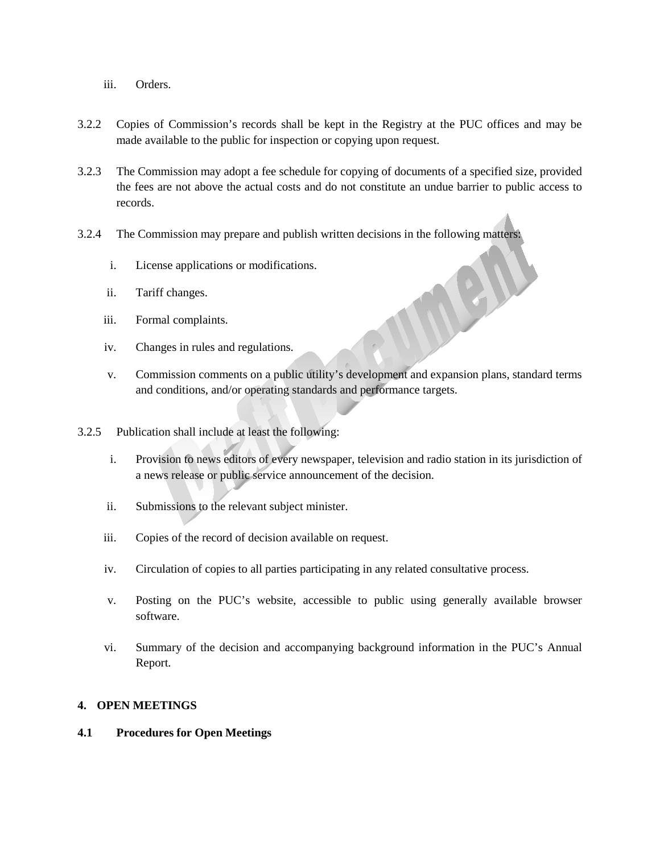- iii. Orders.
- 3.2.2 Copies of Commission's records shall be kept in the Registry at the PUC offices and may be made available to the public for inspection or copying upon request.
- 3.2.3 The Commission may adopt a fee schedule for copying of documents of a specified size, provided the fees are not above the actual costs and do not constitute an undue barrier to public access to records.
- 3.2.4 The Commission may prepare and publish written decisions in the following matters:
	- i. License applications or modifications.
	- ii. Tariff changes.
	- iii. Formal complaints.
	- iv. Changes in rules and regulations.
	- v. Commission comments on a public utility's development and expansion plans, standard terms and conditions, and/or operating standards and performance targets.
- 3.2.5 Publication shall include at least the following:
	- i. Provision to news editors of every newspaper, television and radio station in its jurisdiction of a news release or public service announcement of the decision.
	- ii. Submissions to the relevant subject minister.
	- iii. Copies of the record of decision available on request.
	- iv. Circulation of copies to all parties participating in any related consultative process.
	- v. Posting on the PUC's website, accessible to public using generally available browser software.
	- vi. Summary of the decision and accompanying background information in the PUC's Annual Report.

## **4. OPEN MEETINGS**

#### **4.1 Procedures for Open Meetings**